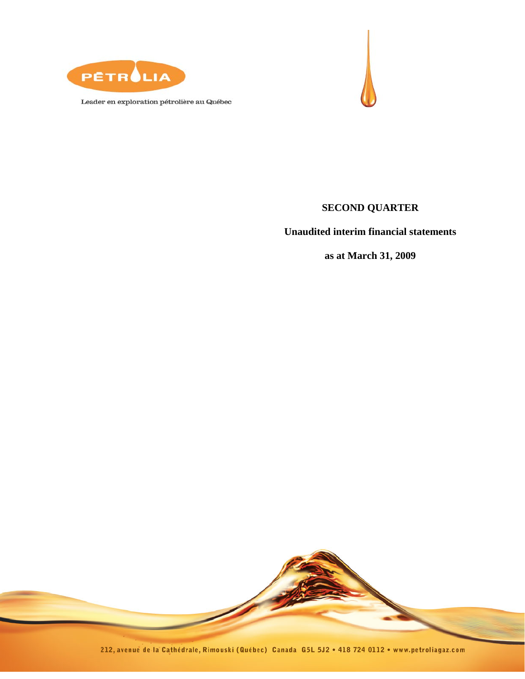

Leader en exploration pétrolière au Québec



## **SECOND QUARTER**

**Unaudited interim financial statements** 

**as at March 31, 2009** 

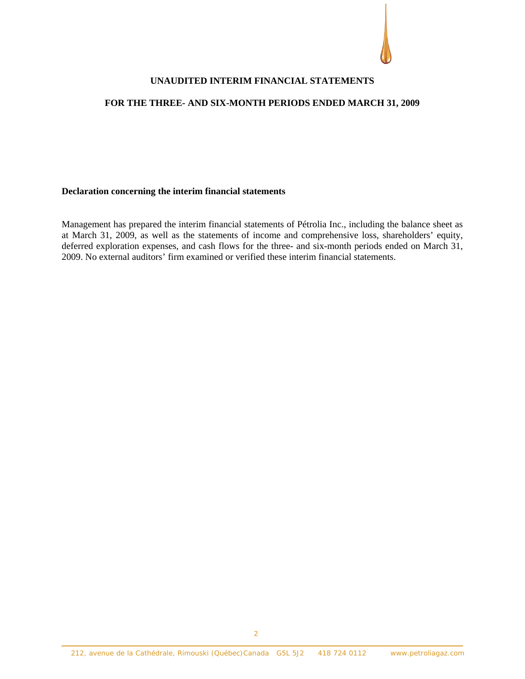#### **UNAUDITED INTERIM FINANCIAL STATEMENTS**

#### **FOR THE THREE- AND SIX-MONTH PERIODS ENDED MARCH 31, 2009**

#### **Declaration concerning the interim financial statements**

Management has prepared the interim financial statements of Pétrolia Inc., including the balance sheet as at March 31, 2009, as well as the statements of income and comprehensive loss, shareholders' equity, deferred exploration expenses, and cash flows for the three- and six-month periods ended on March 31, 2009. No external auditors' firm examined or verified these interim financial statements.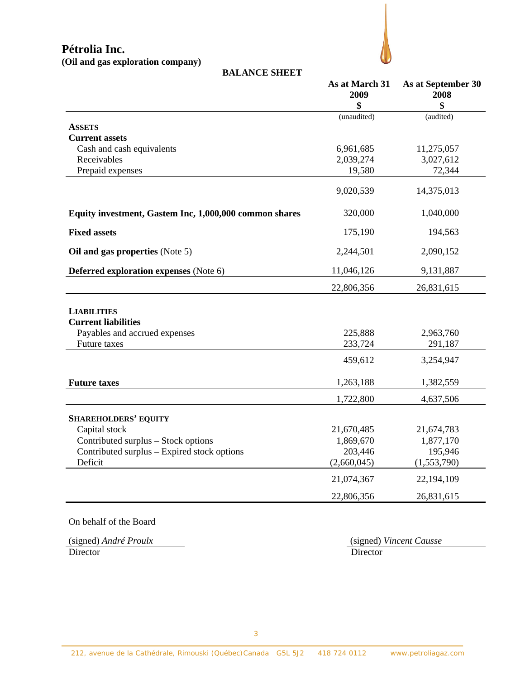**(Oil and gas exploration company)**



| <b>BALANCE SHEET</b>                                   |                              |                                  |
|--------------------------------------------------------|------------------------------|----------------------------------|
|                                                        | As at March 31<br>2009<br>\$ | As at September 30<br>2008<br>\$ |
|                                                        | (unaudited)                  | (audited)                        |
| <b>ASSETS</b>                                          |                              |                                  |
| <b>Current assets</b>                                  |                              |                                  |
| Cash and cash equivalents                              | 6,961,685                    | 11,275,057                       |
| Receivables                                            | 2,039,274                    | 3,027,612                        |
| Prepaid expenses                                       | 19,580                       | 72,344                           |
|                                                        | 9,020,539                    | 14,375,013                       |
| Equity investment, Gastem Inc, 1,000,000 common shares | 320,000                      | 1,040,000                        |
| <b>Fixed assets</b>                                    | 175,190                      | 194,563                          |
| Oil and gas properties (Note 5)                        | 2,244,501                    | 2,090,152                        |
| <b>Deferred exploration expenses</b> (Note 6)          | 11,046,126                   | 9,131,887                        |
|                                                        | 22,806,356                   | 26,831,615                       |
| <b>LIABILITIES</b>                                     |                              |                                  |
| <b>Current liabilities</b>                             |                              |                                  |
| Payables and accrued expenses                          | 225,888                      | 2,963,760                        |
| <b>Future</b> taxes                                    | 233,724                      | 291,187                          |
|                                                        | 459,612                      | 3,254,947                        |
| <b>Future taxes</b>                                    | 1,263,188                    | 1,382,559                        |
|                                                        | 1,722,800                    | 4,637,506                        |
| <b>SHAREHOLDERS' EQUITY</b>                            |                              |                                  |
| Capital stock                                          | 21,670,485                   | 21,674,783                       |
| Contributed surplus - Stock options                    | 1,869,670                    | 1,877,170                        |
| Contributed surplus – Expired stock options            | 203,446                      | 195,946                          |
| Deficit                                                | (2,660,045)                  | (1,553,790)                      |
|                                                        | 21,074,367                   | 22, 194, 109                     |
|                                                        | 22,806,356                   | 26,831,615                       |

On behalf of the Board

(signed) *André Proulx*(signed) *Vincent Causse* Director Director Director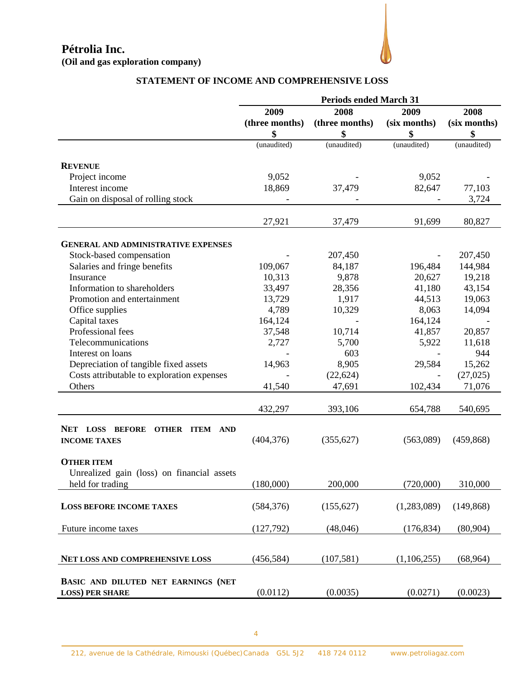

## **STATEMENT OF INCOME AND COMPREHENSIVE LOSS**

|                                            | <b>Periods ended March 31</b> |                |              |              |
|--------------------------------------------|-------------------------------|----------------|--------------|--------------|
|                                            | 2009                          | 2008           | 2009         | 2008         |
|                                            | (three months)                | (three months) | (six months) | (six months) |
|                                            | \$                            | \$             | \$           | \$           |
|                                            | (unaudited)                   | (unaudited)    | (unaudited)  | (unaudited)  |
|                                            |                               |                |              |              |
| <b>REVENUE</b>                             |                               |                |              |              |
| Project income                             | 9,052                         |                | 9,052        |              |
| Interest income                            | 18,869                        | 37,479         | 82,647       | 77,103       |
| Gain on disposal of rolling stock          |                               |                |              | 3,724        |
|                                            |                               |                |              |              |
|                                            | 27,921                        | 37,479         | 91,699       | 80,827       |
|                                            |                               |                |              |              |
| <b>GENERAL AND ADMINISTRATIVE EXPENSES</b> |                               |                |              |              |
| Stock-based compensation                   |                               | 207,450        |              | 207,450      |
| Salaries and fringe benefits               | 109,067                       | 84,187         | 196,484      | 144,984      |
| Insurance                                  | 10,313                        | 9,878          | 20,627       | 19,218       |
| Information to shareholders                | 33,497                        | 28,356         | 41,180       | 43,154       |
| Promotion and entertainment                | 13,729                        | 1,917          | 44,513       | 19,063       |
| Office supplies                            | 4,789                         | 10,329         | 8,063        | 14,094       |
| Capital taxes                              | 164,124                       |                | 164,124      |              |
| Professional fees                          | 37,548                        | 10,714         | 41,857       | 20,857       |
| Telecommunications                         | 2,727                         | 5,700          | 5,922        | 11,618       |
| Interest on loans                          |                               | 603            |              | 944          |
| Depreciation of tangible fixed assets      | 14,963                        | 8,905          | 29,584       | 15,262       |
| Costs attributable to exploration expenses |                               | (22, 624)      |              | (27, 025)    |
| Others                                     | 41,540                        | 47,691         | 102,434      | 71,076       |
|                                            |                               |                |              |              |
|                                            | 432,297                       | 393,106        | 654,788      | 540,695      |
| NET LOSS BEFORE                            |                               |                |              |              |
| <b>OTHER ITEM AND</b>                      | (404, 376)                    | (355, 627)     | (563,089)    | (459, 868)   |
| <b>INCOME TAXES</b>                        |                               |                |              |              |
| <b>OTHER ITEM</b>                          |                               |                |              |              |
| Unrealized gain (loss) on financial assets |                               |                |              |              |
| held for trading                           | (180,000)                     | 200,000        | (720,000)    | 310,000      |
|                                            |                               |                |              |              |
| <b>LOSS BEFORE INCOME TAXES</b>            | (584, 376)                    | (155, 627)     | (1,283,089)  | (149, 868)   |
|                                            |                               |                |              |              |
| Future income taxes                        | (127,792)                     | (48,046)       | (176, 834)   | (80, 904)    |
|                                            |                               |                |              |              |
|                                            |                               |                |              |              |
| NET LOSS AND COMPREHENSIVE LOSS            | (456, 584)                    | (107, 581)     | (1,106,255)  | (68,964)     |
|                                            |                               |                |              |              |
| BASIC AND DILUTED NET EARNINGS (NET        |                               |                |              |              |
| <b>LOSS) PER SHARE</b>                     | (0.0112)                      | (0.0035)       | (0.0271)     | (0.0023)     |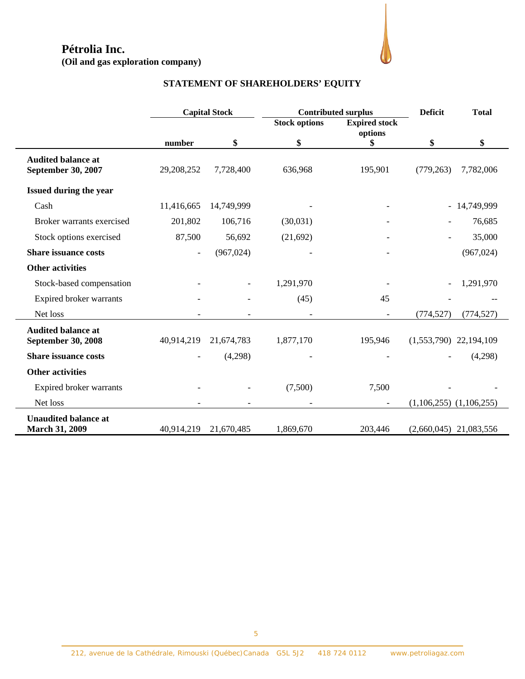**(Oil and gas exploration company)** 



## **STATEMENT OF SHAREHOLDERS' EQUITY**

|                                                        |            | <b>Capital Stock</b> | <b>Contributed surplus</b> |                                 | <b>Deficit</b>              | <b>Total</b> |
|--------------------------------------------------------|------------|----------------------|----------------------------|---------------------------------|-----------------------------|--------------|
|                                                        |            |                      | <b>Stock options</b>       | <b>Expired stock</b><br>options |                             |              |
|                                                        | number     | \$                   | \$                         | \$                              | \$                          | \$           |
| <b>Audited balance at</b><br><b>September 30, 2007</b> | 29,208,252 | 7,728,400            | 636,968                    | 195,901                         | (779, 263)                  | 7,782,006    |
| <b>Issued during the year</b>                          |            |                      |                            |                                 |                             |              |
| Cash                                                   | 11,416,665 | 14,749,999           |                            |                                 |                             | - 14,749,999 |
| Broker warrants exercised                              | 201,802    | 106,716              | (30,031)                   |                                 |                             | 76,685       |
| Stock options exercised                                | 87,500     | 56,692               | (21,692)                   |                                 |                             | 35,000       |
| <b>Share issuance costs</b>                            |            | (967, 024)           |                            |                                 |                             | (967, 024)   |
| <b>Other activities</b>                                |            |                      |                            |                                 |                             |              |
| Stock-based compensation                               |            |                      | 1,291,970                  |                                 |                             | 1,291,970    |
| Expired broker warrants                                |            |                      | (45)                       | 45                              |                             |              |
| Net loss                                               |            |                      |                            | $\blacksquare$                  | (774, 527)                  | (774, 527)   |
| <b>Audited balance at</b><br><b>September 30, 2008</b> | 40,914,219 | 21,674,783           | 1,877,170                  | 195,946                         | $(1,553,790)$ 22,194,109    |              |
| <b>Share issuance costs</b>                            |            | (4,298)              |                            |                                 |                             | (4,298)      |
| <b>Other activities</b>                                |            |                      |                            |                                 |                             |              |
| Expired broker warrants                                |            |                      | (7,500)                    | 7,500                           |                             |              |
| Net loss                                               |            |                      |                            | $\overline{\phantom{a}}$        | $(1,106,255)$ $(1,106,255)$ |              |
| <b>Unaudited balance at</b><br>March 31, 2009          | 40,914,219 | 21,670,485           | 1,869,670                  | 203,446                         | $(2,660,045)$ 21,083,556    |              |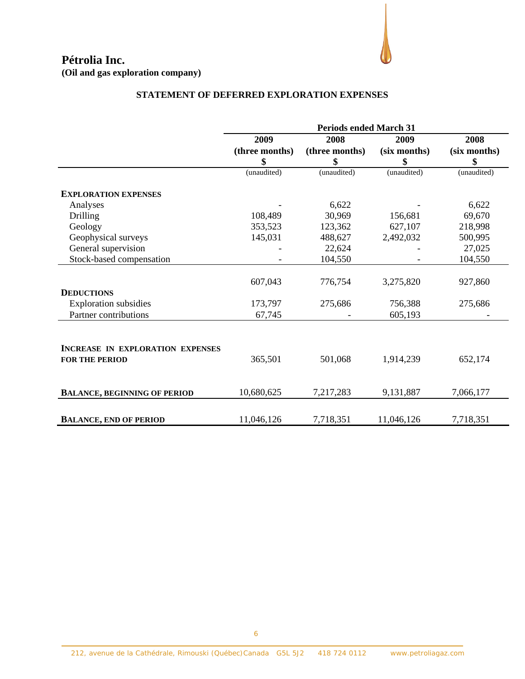**Pétrolia Inc. (Oil and gas exploration company)** 

## **STATEMENT OF DEFERRED EXPLORATION EXPENSES**

|                                     | <b>Periods ended March 31</b> |                |              |              |
|-------------------------------------|-------------------------------|----------------|--------------|--------------|
|                                     | 2009                          | 2008           | 2009         | 2008         |
|                                     | (three months)                | (three months) | (six months) | (six months) |
|                                     | \$                            | \$             | \$           | \$           |
|                                     | (unaudited)                   | (unaudited)    | (unaudited)  | (unaudited)  |
| <b>EXPLORATION EXPENSES</b>         |                               |                |              |              |
| Analyses                            |                               | 6,622          |              | 6,622        |
| Drilling                            | 108,489                       | 30,969         | 156,681      | 69,670       |
| Geology                             | 353,523                       | 123,362        | 627,107      | 218,998      |
| Geophysical surveys                 | 145,031                       | 488,627        | 2,492,032    | 500,995      |
| General supervision                 |                               | 22,624         |              | 27,025       |
| Stock-based compensation            |                               | 104,550        |              | 104,550      |
|                                     |                               |                |              |              |
|                                     | 607,043                       | 776,754        | 3,275,820    | 927,860      |
| <b>DEDUCTIONS</b>                   |                               |                |              |              |
| <b>Exploration</b> subsidies        | 173,797                       | 275,686        | 756,388      | 275,686      |
| Partner contributions               | 67,745                        |                | 605,193      |              |
|                                     |                               |                |              |              |
| INCREASE IN EXPLORATION EXPENSES    |                               |                |              |              |
| <b>FOR THE PERIOD</b>               | 365,501                       | 501,068        | 1,914,239    | 652,174      |
|                                     |                               |                |              |              |
| <b>BALANCE, BEGINNING OF PERIOD</b> | 10,680,625                    | 7,217,283      | 9,131,887    | 7,066,177    |
|                                     |                               |                |              |              |
| <b>BALANCE, END OF PERIOD</b>       | 11,046,126                    | 7,718,351      | 11,046,126   | 7,718,351    |

6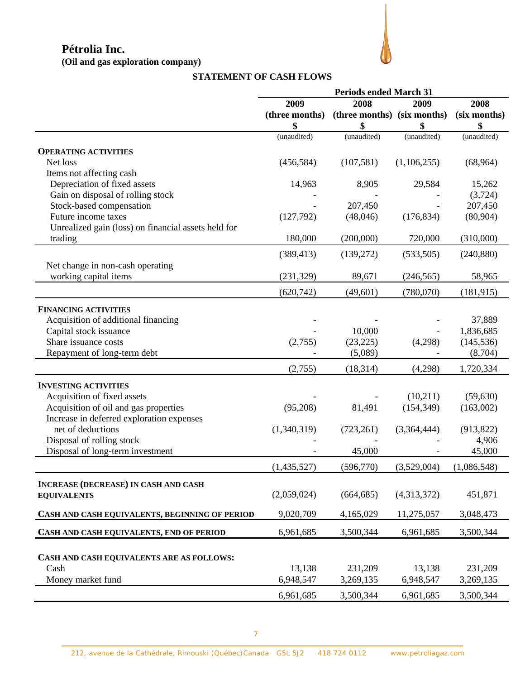**(Oil and gas exploration company)** 



## **STATEMENT OF CASH FLOWS**

|                                                     | <b>Periods ended March 31</b> |                             |             |              |
|-----------------------------------------------------|-------------------------------|-----------------------------|-------------|--------------|
|                                                     | 2008<br>2009<br>2009          |                             |             | 2008         |
|                                                     | (three months)                | (three months) (six months) |             | (six months) |
|                                                     | \$                            | \$                          | \$          | \$           |
|                                                     | (unaudited)                   | (unaudited)                 | (unaudited) | (unaudited)  |
| <b>OPERATING ACTIVITIES</b>                         |                               |                             |             |              |
| Net loss                                            | (456, 584)                    | (107, 581)                  | (1,106,255) | (68, 964)    |
| Items not affecting cash                            |                               |                             |             |              |
| Depreciation of fixed assets                        | 14,963                        | 8,905                       | 29,584      | 15,262       |
| Gain on disposal of rolling stock                   |                               |                             |             | (3,724)      |
| Stock-based compensation                            |                               | 207,450                     |             | 207,450      |
| Future income taxes                                 | (127,792)                     | (48,046)                    | (176, 834)  | (80,904)     |
| Unrealized gain (loss) on financial assets held for |                               |                             |             |              |
| trading                                             | 180,000                       | (200,000)                   | 720,000     | (310,000)    |
|                                                     | (389, 413)                    | (139,272)                   | (533,505)   | (240, 880)   |
| Net change in non-cash operating                    |                               |                             |             |              |
| working capital items                               | (231, 329)                    | 89,671                      | (246, 565)  | 58,965       |
|                                                     | (620, 742)                    | (49, 601)                   | (780,070)   | (181, 915)   |
| <b>FINANCING ACTIVITIES</b>                         |                               |                             |             |              |
| Acquisition of additional financing                 |                               |                             |             | 37,889       |
| Capital stock issuance                              |                               | 10,000                      |             | 1,836,685    |
| Share issuance costs                                | (2,755)                       | (23, 225)                   | (4,298)     | (145, 536)   |
| Repayment of long-term debt                         |                               | (5,089)                     |             | (8,704)      |
|                                                     | (2,755)                       | (18, 314)                   | (4,298)     | 1,720,334    |
| <b>INVESTING ACTIVITIES</b>                         |                               |                             |             |              |
| Acquisition of fixed assets                         |                               |                             | (10,211)    | (59, 630)    |
| Acquisition of oil and gas properties               | (95,208)                      | 81,491                      | (154, 349)  | (163,002)    |
| Increase in deferred exploration expenses           |                               |                             |             |              |
| net of deductions                                   | (1,340,319)                   | (723, 261)                  | (3,364,444) | (913, 822)   |
| Disposal of rolling stock                           |                               |                             |             | 4,906        |
| Disposal of long-term investment                    |                               | 45,000                      |             | 45,000       |
|                                                     | (1,435,527)                   | (596, 770)                  | (3,529,004) | (1,086,548)  |
| <b>INCREASE (DECREASE) IN CASH AND CASH</b>         |                               |                             |             |              |
| <b>EQUIVALENTS</b>                                  | (2,059,024)                   | (664, 685)                  | (4,313,372) | 451,871      |
|                                                     |                               |                             |             |              |
| CASH AND CASH EQUIVALENTS, BEGINNING OF PERIOD      | 9,020,709                     | 4,165,029                   | 11,275,057  | 3,048,473    |
| CASH AND CASH EQUIVALENTS, END OF PERIOD            | 6,961,685                     | 3,500,344                   | 6,961,685   | 3,500,344    |
|                                                     |                               |                             |             |              |
| CASH AND CASH EQUIVALENTS ARE AS FOLLOWS:           |                               |                             |             |              |
| Cash                                                | 13,138                        | 231,209                     | 13,138      | 231,209      |
| Money market fund                                   | 6,948,547                     | 3,269,135                   | 6,948,547   | 3,269,135    |
|                                                     | 6,961,685                     | 3,500,344                   | 6,961,685   | 3,500,344    |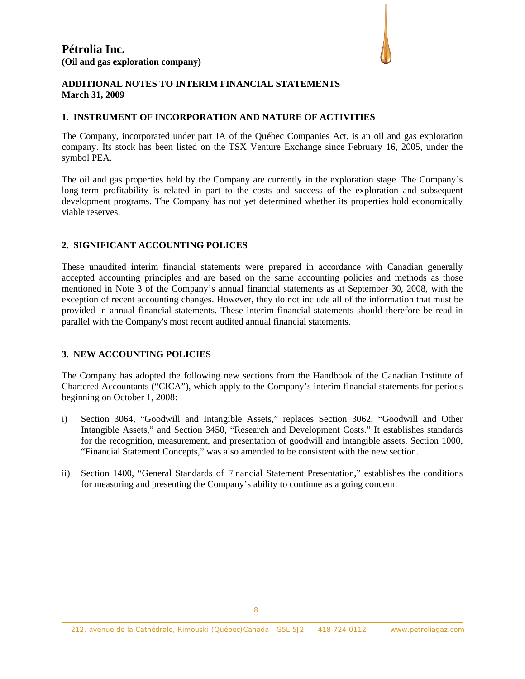

### **ADDITIONAL NOTES TO INTERIM FINANCIAL STATEMENTS March 31, 2009**

#### **1. INSTRUMENT OF INCORPORATION AND NATURE OF ACTIVITIES**

The Company, incorporated under part IA of the Québec Companies Act, is an oil and gas exploration company. Its stock has been listed on the TSX Venture Exchange since February 16, 2005, under the symbol PEA.

The oil and gas properties held by the Company are currently in the exploration stage. The Company's long-term profitability is related in part to the costs and success of the exploration and subsequent development programs. The Company has not yet determined whether its properties hold economically viable reserves.

### **2. SIGNIFICANT ACCOUNTING POLICES**

These unaudited interim financial statements were prepared in accordance with Canadian generally accepted accounting principles and are based on the same accounting policies and methods as those mentioned in Note 3 of the Company's annual financial statements as at September 30, 2008, with the exception of recent accounting changes. However, they do not include all of the information that must be provided in annual financial statements. These interim financial statements should therefore be read in parallel with the Company's most recent audited annual financial statements.

## **3. NEW ACCOUNTING POLICIES**

The Company has adopted the following new sections from the Handbook of the Canadian Institute of Chartered Accountants ("CICA"), which apply to the Company's interim financial statements for periods beginning on October 1, 2008:

- i) Section 3064, "Goodwill and Intangible Assets," replaces Section 3062, "Goodwill and Other Intangible Assets," and Section 3450, "Research and Development Costs." It establishes standards for the recognition, measurement, and presentation of goodwill and intangible assets. Section 1000, "Financial Statement Concepts," was also amended to be consistent with the new section.
- ii) Section 1400, "General Standards of Financial Statement Presentation," establishes the conditions for measuring and presenting the Company's ability to continue as a going concern.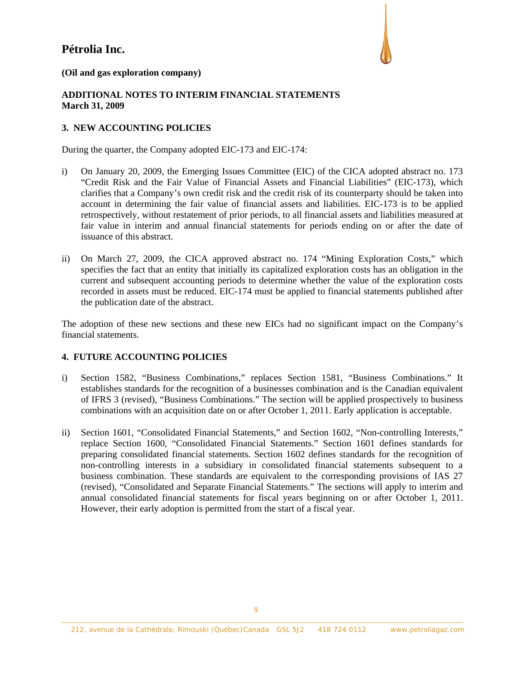

**(Oil and gas exploration company)** 

## **ADDITIONAL NOTES TO INTERIM FINANCIAL STATEMENTS March 31, 2009**

## **3. NEW ACCOUNTING POLICIES**

During the quarter, the Company adopted EIC-173 and EIC-174:

- i) On January 20, 2009, the Emerging Issues Committee (EIC) of the CICA adopted abstract no. 173 "Credit Risk and the Fair Value of Financial Assets and Financial Liabilities" (EIC-173), which clarifies that a Company's own credit risk and the credit risk of its counterparty should be taken into account in determining the fair value of financial assets and liabilities. EIC-173 is to be applied retrospectively, without restatement of prior periods, to all financial assets and liabilities measured at fair value in interim and annual financial statements for periods ending on or after the date of issuance of this abstract.
- ii) On March 27, 2009, the CICA approved abstract no. 174 "Mining Exploration Costs," which specifies the fact that an entity that initially its capitalized exploration costs has an obligation in the current and subsequent accounting periods to determine whether the value of the exploration costs recorded in assets must be reduced. EIC-174 must be applied to financial statements published after the publication date of the abstract.

The adoption of these new sections and these new EICs had no significant impact on the Company's financial statements.

## **4. FUTURE ACCOUNTING POLICIES**

- i) Section 1582, "Business Combinations," replaces Section 1581, "Business Combinations." It establishes standards for the recognition of a businesses combination and is the Canadian equivalent of IFRS 3 (revised), "Business Combinations." The section will be applied prospectively to business combinations with an acquisition date on or after October 1, 2011. Early application is acceptable.
- ii) Section 1601, "Consolidated Financial Statements," and Section 1602, "Non-controlling Interests," replace Section 1600, "Consolidated Financial Statements." Section 1601 defines standards for preparing consolidated financial statements. Section 1602 defines standards for the recognition of non-controlling interests in a subsidiary in consolidated financial statements subsequent to a business combination. These standards are equivalent to the corresponding provisions of IAS 27 (revised), "Consolidated and Separate Financial Statements." The sections will apply to interim and annual consolidated financial statements for fiscal years beginning on or after October 1, 2011. However, their early adoption is permitted from the start of a fiscal year.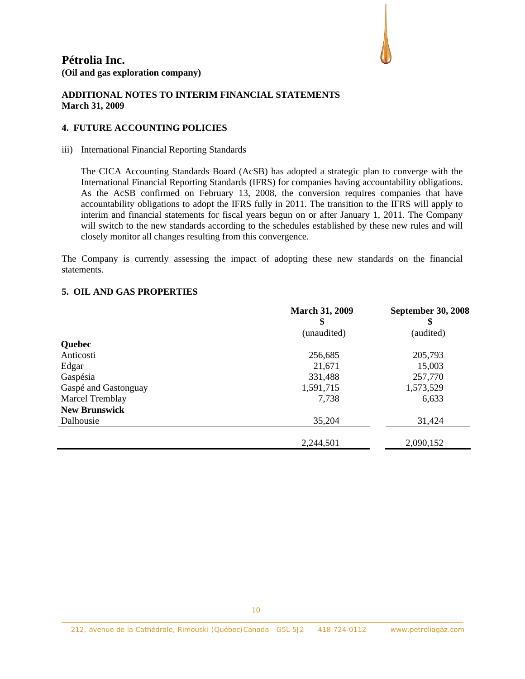

### **ADDITIONAL NOTES TO INTERIM FINANCIAL STATEMENTS March 31, 2009**

## **4. FUTURE ACCOUNTING POLICIES**

#### iii) International Financial Reporting Standards

The CICA Accounting Standards Board (AcSB) has adopted a strategic plan to converge with the International Financial Reporting Standards (IFRS) for companies having accountability obligations. As the AcSB confirmed on February 13, 2008, the conversion requires companies that have accountability obligations to adopt the IFRS fully in 2011. The transition to the IFRS will apply to interim and financial statements for fiscal years begun on or after January 1, 2011. The Company will switch to the new standards according to the schedules established by these new rules and will closely monitor all changes resulting from this convergence.

The Company is currently assessing the impact of adopting these new standards on the financial statements.

|                        | <b>March 31, 2009</b><br>\$ | <b>September 30, 2008</b> |
|------------------------|-----------------------------|---------------------------|
|                        | (unaudited)                 | (audited)                 |
| <b>Quebec</b>          |                             |                           |
| Anticosti              | 256,685                     | 205,793                   |
| Edgar                  | 21,671                      | 15,003                    |
| Gaspésia               | 331,488                     | 257,770                   |
| Gaspé and Gastonguay   | 1,591,715                   | 1,573,529                 |
| <b>Marcel Tremblay</b> | 7,738                       | 6,633                     |
| <b>New Brunswick</b>   |                             |                           |
| Dalhousie              | 35,204                      | 31,424                    |
|                        | 2,244,501                   | 2,090,152                 |

#### **5. OIL AND GAS PROPERTIES**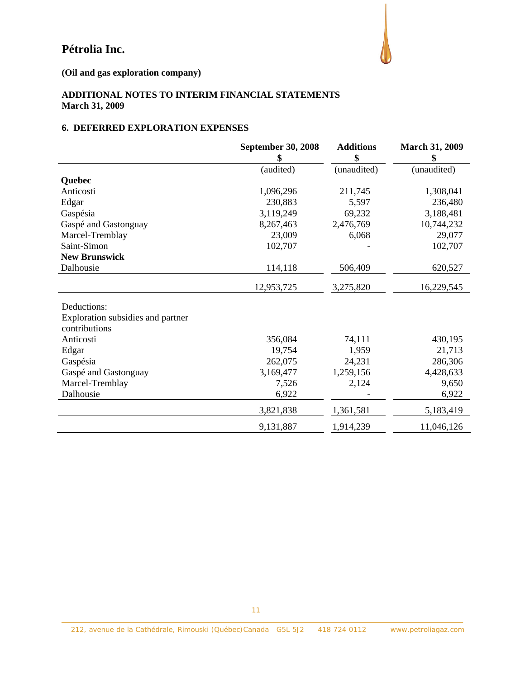

**(Oil and gas exploration company)** 

## **ADDITIONAL NOTES TO INTERIM FINANCIAL STATEMENTS March 31, 2009**

## **6. DEFERRED EXPLORATION EXPENSES**

|                                                    | <b>September 30, 2008</b><br>\$ | <b>Additions</b><br>\$ | <b>March 31, 2009</b><br>\$ |
|----------------------------------------------------|---------------------------------|------------------------|-----------------------------|
|                                                    | (audited)                       | (unaudited)            | (unaudited)                 |
| Quebec                                             |                                 |                        |                             |
| Anticosti                                          | 1,096,296                       | 211,745                | 1,308,041                   |
| Edgar                                              | 230,883                         | 5,597                  | 236,480                     |
| Gaspésia                                           | 3,119,249                       | 69,232                 | 3,188,481                   |
| Gaspé and Gastonguay                               | 8,267,463                       | 2,476,769              | 10,744,232                  |
| Marcel-Tremblay                                    | 23,009                          | 6,068                  | 29,077                      |
| Saint-Simon                                        | 102,707                         |                        | 102,707                     |
| <b>New Brunswick</b>                               |                                 |                        |                             |
| Dalhousie                                          | 114,118                         | 506,409                | 620,527                     |
|                                                    | 12,953,725                      | 3,275,820              | 16,229,545                  |
| Deductions:                                        |                                 |                        |                             |
| Exploration subsidies and partner<br>contributions |                                 |                        |                             |
| Anticosti                                          | 356,084                         | 74,111                 | 430,195                     |
| Edgar                                              | 19,754                          | 1,959                  | 21,713                      |
| Gaspésia                                           | 262,075                         | 24,231                 | 286,306                     |
| Gaspé and Gastonguay                               | 3,169,477                       | 1,259,156              | 4,428,633                   |
| Marcel-Tremblay                                    | 7,526                           | 2,124                  | 9,650                       |
| Dalhousie                                          | 6,922                           |                        | 6,922                       |
|                                                    | 3,821,838                       | 1,361,581              | 5,183,419                   |
|                                                    | 9,131,887                       | 1,914,239              | 11,046,126                  |